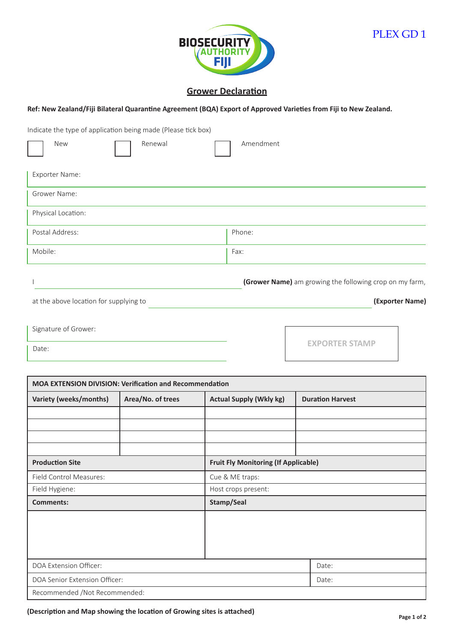

## **Grower Declaration**

**Ref: New Zealand/Fiji Bilateral Quarantine Agreement (BQA) Export of Approved Varieties from Fiji to New Zealand.** 

Indicate the type of application being made (Please tick box)

| New                | Renewal | Amendment |
|--------------------|---------|-----------|
| Exporter Name:     |         |           |
| Grower Name:       |         |           |
| Physical Location: |         |           |
| Postal Address:    |         | Phone:    |
| Mobile:            |         | Fax:      |
|                    |         |           |

I **(Grower Name)** am growing the following crop on my farm,

at the above location for supplying to **(Exporter Name)**

Signature of Grower:

Date:

**EXPORTER STAMP**

| <b>MOA EXTENSION DIVISION: Verification and Recommendation</b> |                   |                                             |                         |  |
|----------------------------------------------------------------|-------------------|---------------------------------------------|-------------------------|--|
| Variety (weeks/months)                                         | Area/No. of trees | <b>Actual Supply (Wkly kg)</b>              | <b>Duration Harvest</b> |  |
|                                                                |                   |                                             |                         |  |
|                                                                |                   |                                             |                         |  |
|                                                                |                   |                                             |                         |  |
|                                                                |                   |                                             |                         |  |
| <b>Production Site</b>                                         |                   | <b>Fruit Fly Monitoring (If Applicable)</b> |                         |  |
| Field Control Measures:                                        |                   | Cue & ME traps:                             |                         |  |
| Field Hygiene:                                                 |                   | Host crops present:                         |                         |  |
| <b>Comments:</b>                                               |                   | Stamp/Seal                                  |                         |  |
|                                                                |                   |                                             |                         |  |
|                                                                |                   |                                             |                         |  |
|                                                                |                   |                                             |                         |  |
|                                                                |                   |                                             |                         |  |
| DOA Extension Officer:                                         |                   |                                             | Date:                   |  |
| DOA Senior Extension Officer:                                  |                   |                                             | Date:                   |  |
| Recommended /Not Recommended:                                  |                   |                                             |                         |  |

**(Description and Map showing the location of Growing sites is attached)**